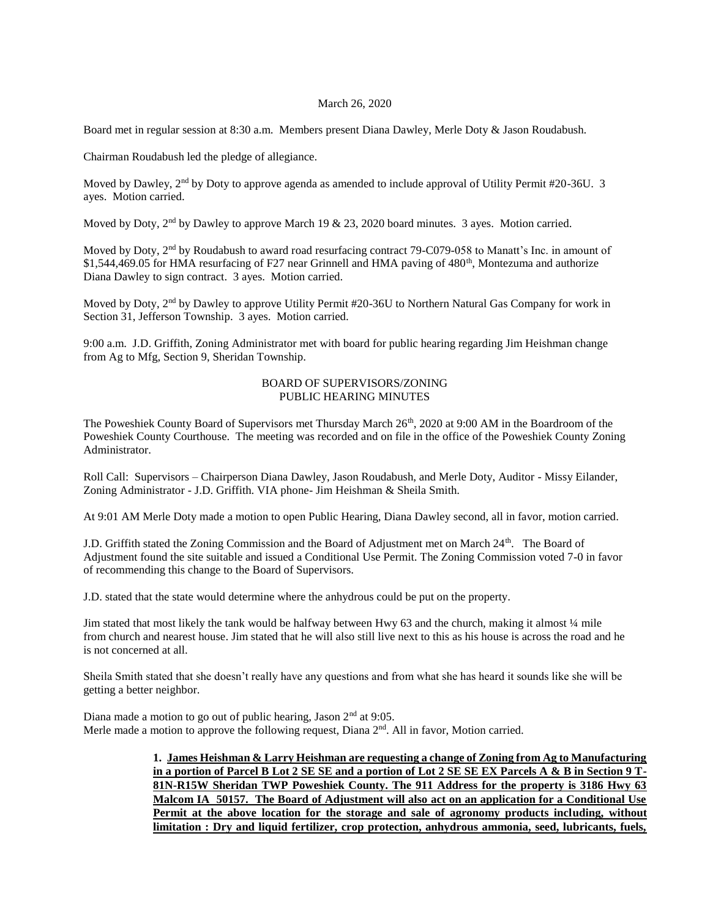### March 26, 2020

Board met in regular session at 8:30 a.m. Members present Diana Dawley, Merle Doty & Jason Roudabush.

Chairman Roudabush led the pledge of allegiance.

Moved by Dawley,  $2<sup>nd</sup>$  by Doty to approve agenda as amended to include approval of Utility Permit #20-36U. 3 ayes. Motion carried.

Moved by Doty,  $2<sup>nd</sup>$  by Dawley to approve March 19 & 23, 2020 board minutes. 3 ayes. Motion carried.

Moved by Doty, 2nd by Roudabush to award road resurfacing contract 79-C079-058 to Manatt's Inc. in amount of \$1,544,469.05 for HMA resurfacing of F27 near Grinnell and HMA paving of 480<sup>th</sup>, Montezuma and authorize Diana Dawley to sign contract. 3 ayes. Motion carried.

Moved by Doty, 2nd by Dawley to approve Utility Permit #20-36U to Northern Natural Gas Company for work in Section 31, Jefferson Township. 3 ayes. Motion carried.

9:00 a.m. J.D. Griffith, Zoning Administrator met with board for public hearing regarding Jim Heishman change from Ag to Mfg, Section 9, Sheridan Township.

### BOARD OF SUPERVISORS/ZONING PUBLIC HEARING MINUTES

The Poweshiek County Board of Supervisors met Thursday March 26<sup>th</sup>, 2020 at 9:00 AM in the Boardroom of the Poweshiek County Courthouse. The meeting was recorded and on file in the office of the Poweshiek County Zoning Administrator.

Roll Call: Supervisors – Chairperson Diana Dawley, Jason Roudabush, and Merle Doty, Auditor - Missy Eilander, Zoning Administrator - J.D. Griffith. VIA phone- Jim Heishman & Sheila Smith.

At 9:01 AM Merle Doty made a motion to open Public Hearing, Diana Dawley second, all in favor, motion carried.

J.D. Griffith stated the Zoning Commission and the Board of Adjustment met on March 24<sup>th</sup>. The Board of Adjustment found the site suitable and issued a Conditional Use Permit. The Zoning Commission voted 7-0 in favor of recommending this change to the Board of Supervisors.

J.D. stated that the state would determine where the anhydrous could be put on the property.

Jim stated that most likely the tank would be halfway between Hwy 63 and the church, making it almost ¼ mile from church and nearest house. Jim stated that he will also still live next to this as his house is across the road and he is not concerned at all.

Sheila Smith stated that she doesn't really have any questions and from what she has heard it sounds like she will be getting a better neighbor.

Diana made a motion to go out of public hearing, Jason 2<sup>nd</sup> at 9:05. Merle made a motion to approve the following request, Diana  $2<sup>nd</sup>$ . All in favor, Motion carried.

> **1. James Heishman & Larry Heishman are requesting a change of Zoning from Ag to Manufacturing in a portion of Parcel B Lot 2 SE SE and a portion of Lot 2 SE SE EX Parcels A & B in Section 9 T-81N-R15W Sheridan TWP Poweshiek County. The 911 Address for the property is 3186 Hwy 63 Malcom IA 50157. The Board of Adjustment will also act on an application for a Conditional Use Permit at the above location for the storage and sale of agronomy products including, without limitation : Dry and liquid fertilizer, crop protection, anhydrous ammonia, seed, lubricants, fuels,**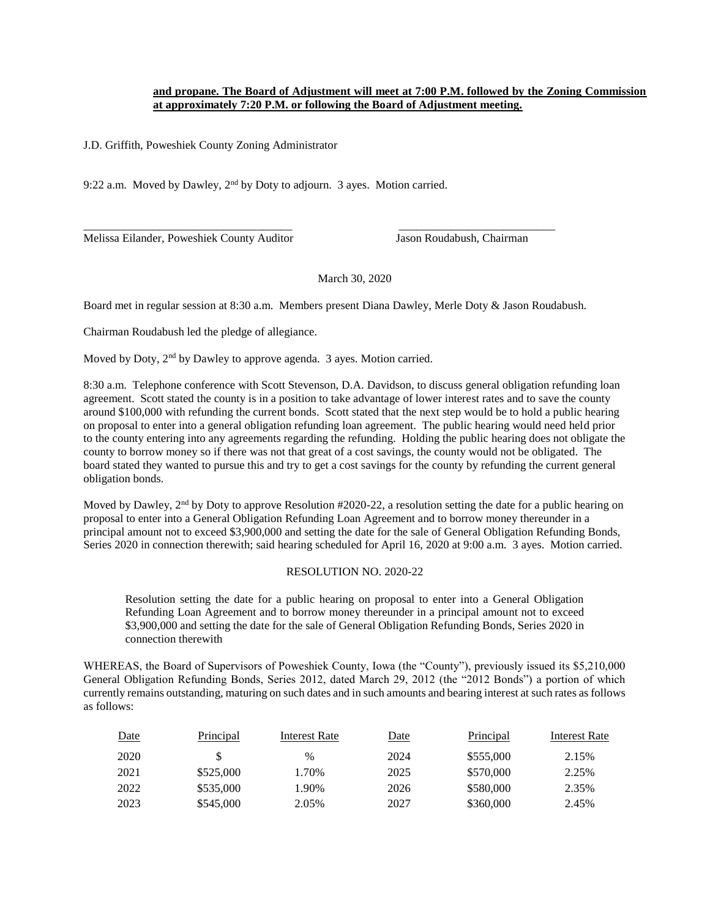# **and propane. The Board of Adjustment will meet at 7:00 P.M. followed by the Zoning Commission at approximately 7:20 P.M. or following the Board of Adjustment meeting.**

J.D. Griffith, Poweshiek County Zoning Administrator

9:22 a.m. Moved by Dawley, 2nd by Doty to adjourn. 3 ayes. Motion carried.

Melissa Eilander, Poweshiek County Auditor Jason Roudabush, Chairman

March 30, 2020

Board met in regular session at 8:30 a.m. Members present Diana Dawley, Merle Doty & Jason Roudabush.

\_\_\_\_\_\_\_\_\_\_\_\_\_\_\_\_\_\_\_\_\_\_\_\_\_\_\_\_\_\_\_\_\_\_\_\_ \_\_\_\_\_\_\_\_\_\_\_\_\_\_\_\_\_\_\_\_\_\_\_\_\_\_\_

Chairman Roudabush led the pledge of allegiance.

Moved by Doty, 2<sup>nd</sup> by Dawley to approve agenda. 3 ayes. Motion carried.

8:30 a.m. Telephone conference with Scott Stevenson, D.A. Davidson, to discuss general obligation refunding loan agreement. Scott stated the county is in a position to take advantage of lower interest rates and to save the county around \$100,000 with refunding the current bonds. Scott stated that the next step would be to hold a public hearing on proposal to enter into a general obligation refunding loan agreement. The public hearing would need held prior to the county entering into any agreements regarding the refunding. Holding the public hearing does not obligate the county to borrow money so if there was not that great of a cost savings, the county would not be obligated. The board stated they wanted to pursue this and try to get a cost savings for the county by refunding the current general obligation bonds.

Moved by Dawley,  $2<sup>nd</sup>$  by Doty to approve Resolution #2020-22, a resolution setting the date for a public hearing on proposal to enter into a General Obligation Refunding Loan Agreement and to borrow money thereunder in a principal amount not to exceed \$3,900,000 and setting the date for the sale of General Obligation Refunding Bonds, Series 2020 in connection therewith; said hearing scheduled for April 16, 2020 at 9:00 a.m. 3 ayes. Motion carried.

### RESOLUTION NO. 2020-22

Resolution setting the date for a public hearing on proposal to enter into a General Obligation Refunding Loan Agreement and to borrow money thereunder in a principal amount not to exceed \$3,900,000 and setting the date for the sale of General Obligation Refunding Bonds, Series 2020 in connection therewith

WHEREAS, the Board of Supervisors of Poweshiek County, Iowa (the "County"), previously issued its \$5,210,000 General Obligation Refunding Bonds, Series 2012, dated March 29, 2012 (the "2012 Bonds") a portion of which currently remains outstanding, maturing on such dates and in such amounts and bearing interest at such rates as follows as follows:

| Date | Principal | Interest Rate | Date | Principal | Interest Rate |
|------|-----------|---------------|------|-----------|---------------|
| 2020 |           | $\%$          | 2024 | \$555,000 | 2.15%         |
| 2021 | \$525,000 | 1.70%         | 2025 | \$570,000 | 2.25%         |
| 2022 | \$535,000 | 1.90%         | 2026 | \$580,000 | 2.35%         |
| 2023 | \$545,000 | 2.05%         | 2027 | \$360,000 | 2.45%         |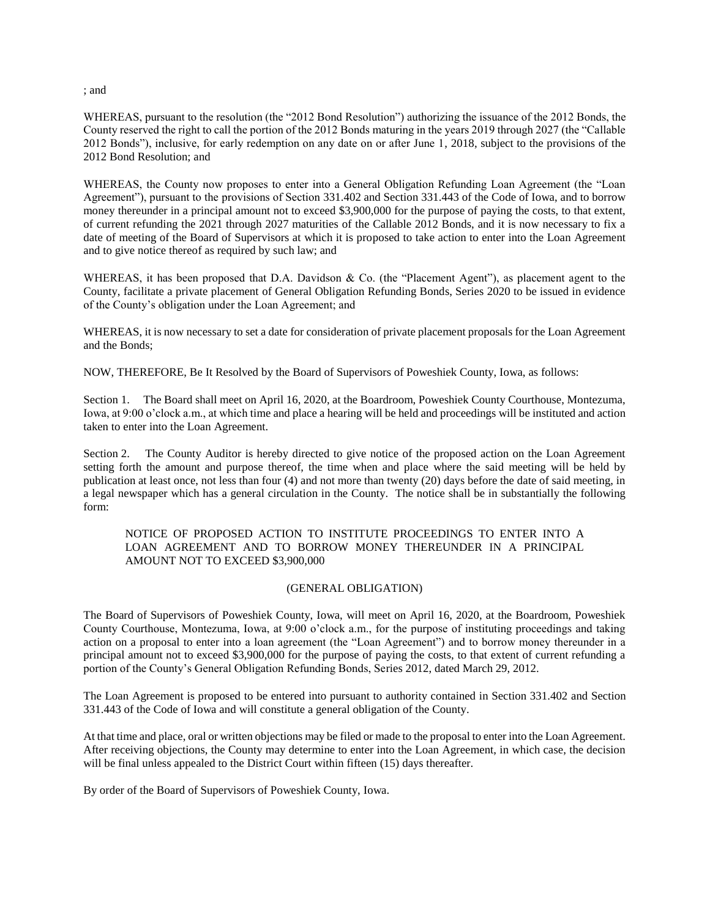; and

WHEREAS, pursuant to the resolution (the "2012 Bond Resolution") authorizing the issuance of the 2012 Bonds, the County reserved the right to call the portion of the 2012 Bonds maturing in the years 2019 through 2027 (the "Callable 2012 Bonds"), inclusive, for early redemption on any date on or after June 1, 2018, subject to the provisions of the 2012 Bond Resolution; and

WHEREAS, the County now proposes to enter into a General Obligation Refunding Loan Agreement (the "Loan Agreement"), pursuant to the provisions of Section 331.402 and Section 331.443 of the Code of Iowa, and to borrow money thereunder in a principal amount not to exceed \$3,900,000 for the purpose of paying the costs, to that extent, of current refunding the 2021 through 2027 maturities of the Callable 2012 Bonds, and it is now necessary to fix a date of meeting of the Board of Supervisors at which it is proposed to take action to enter into the Loan Agreement and to give notice thereof as required by such law; and

WHEREAS, it has been proposed that D.A. Davidson & Co. (the "Placement Agent"), as placement agent to the County, facilitate a private placement of General Obligation Refunding Bonds, Series 2020 to be issued in evidence of the County's obligation under the Loan Agreement; and

WHEREAS, it is now necessary to set a date for consideration of private placement proposals for the Loan Agreement and the Bonds;

NOW, THEREFORE, Be It Resolved by the Board of Supervisors of Poweshiek County, Iowa, as follows:

Section 1. The Board shall meet on April 16, 2020, at the Boardroom, Poweshiek County Courthouse, Montezuma, Iowa, at 9:00 o'clock a.m., at which time and place a hearing will be held and proceedings will be instituted and action taken to enter into the Loan Agreement.

Section 2. The County Auditor is hereby directed to give notice of the proposed action on the Loan Agreement setting forth the amount and purpose thereof, the time when and place where the said meeting will be held by publication at least once, not less than four (4) and not more than twenty (20) days before the date of said meeting, in a legal newspaper which has a general circulation in the County. The notice shall be in substantially the following form:

# NOTICE OF PROPOSED ACTION TO INSTITUTE PROCEEDINGS TO ENTER INTO A LOAN AGREEMENT AND TO BORROW MONEY THEREUNDER IN A PRINCIPAL AMOUNT NOT TO EXCEED \$3,900,000

### (GENERAL OBLIGATION)

The Board of Supervisors of Poweshiek County, Iowa, will meet on April 16, 2020, at the Boardroom, Poweshiek County Courthouse, Montezuma, Iowa, at 9:00 o'clock a.m., for the purpose of instituting proceedings and taking action on a proposal to enter into a loan agreement (the "Loan Agreement") and to borrow money thereunder in a principal amount not to exceed \$3,900,000 for the purpose of paying the costs, to that extent of current refunding a portion of the County's General Obligation Refunding Bonds, Series 2012, dated March 29, 2012.

The Loan Agreement is proposed to be entered into pursuant to authority contained in Section 331.402 and Section 331.443 of the Code of Iowa and will constitute a general obligation of the County.

At that time and place, oral or written objections may be filed or made to the proposal to enter into the Loan Agreement. After receiving objections, the County may determine to enter into the Loan Agreement, in which case, the decision will be final unless appealed to the District Court within fifteen (15) days thereafter.

By order of the Board of Supervisors of Poweshiek County, Iowa.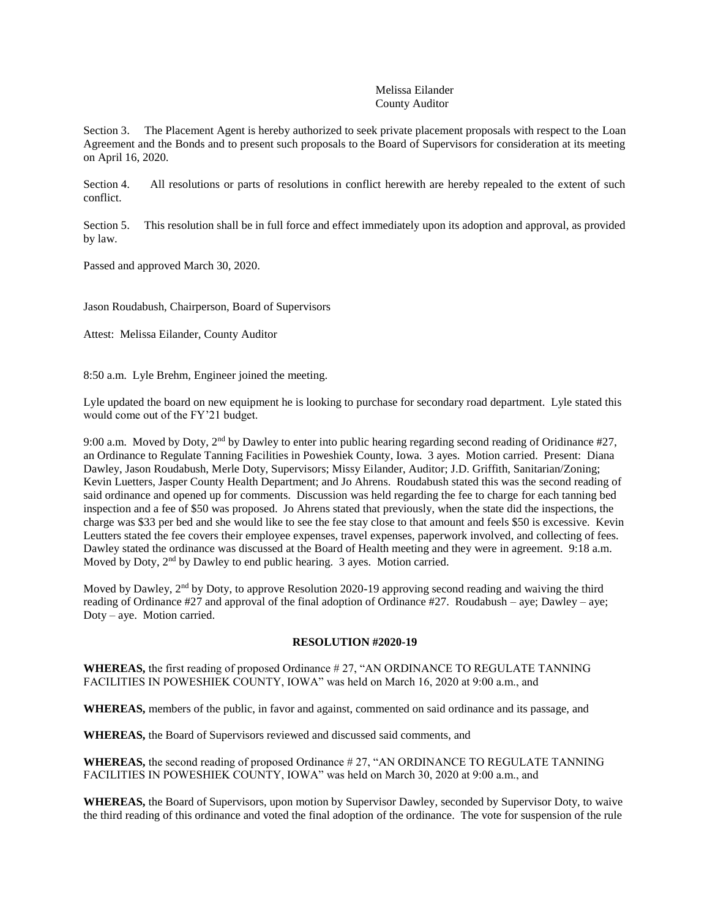# Melissa Eilander County Auditor

Section 3. The Placement Agent is hereby authorized to seek private placement proposals with respect to the Loan Agreement and the Bonds and to present such proposals to the Board of Supervisors for consideration at its meeting on April 16, 2020.

Section 4. All resolutions or parts of resolutions in conflict herewith are hereby repealed to the extent of such conflict.

Section 5. This resolution shall be in full force and effect immediately upon its adoption and approval, as provided by law.

Passed and approved March 30, 2020.

Jason Roudabush, Chairperson, Board of Supervisors

Attest: Melissa Eilander, County Auditor

8:50 a.m. Lyle Brehm, Engineer joined the meeting.

Lyle updated the board on new equipment he is looking to purchase for secondary road department. Lyle stated this would come out of the FY'21 budget.

9:00 a.m. Moved by Doty,  $2<sup>nd</sup>$  by Dawley to enter into public hearing regarding second reading of Oridinance #27, an Ordinance to Regulate Tanning Facilities in Poweshiek County, Iowa. 3 ayes. Motion carried. Present: Diana Dawley, Jason Roudabush, Merle Doty, Supervisors; Missy Eilander, Auditor; J.D. Griffith, Sanitarian/Zoning; Kevin Luetters, Jasper County Health Department; and Jo Ahrens. Roudabush stated this was the second reading of said ordinance and opened up for comments. Discussion was held regarding the fee to charge for each tanning bed inspection and a fee of \$50 was proposed. Jo Ahrens stated that previously, when the state did the inspections, the charge was \$33 per bed and she would like to see the fee stay close to that amount and feels \$50 is excessive. Kevin Leutters stated the fee covers their employee expenses, travel expenses, paperwork involved, and collecting of fees. Dawley stated the ordinance was discussed at the Board of Health meeting and they were in agreement. 9:18 a.m. Moved by Doty, 2<sup>nd</sup> by Dawley to end public hearing. 3 ayes. Motion carried.

Moved by Dawley,  $2<sup>nd</sup>$  by Doty, to approve Resolution 2020-19 approving second reading and waiving the third reading of Ordinance #27 and approval of the final adoption of Ordinance #27. Roudabush – aye; Dawley – aye; Doty – aye. Motion carried.

### **RESOLUTION #2020-19**

**WHEREAS,** the first reading of proposed Ordinance # 27, "AN ORDINANCE TO REGULATE TANNING FACILITIES IN POWESHIEK COUNTY, IOWA" was held on March 16, 2020 at 9:00 a.m., and

**WHEREAS,** members of the public, in favor and against, commented on said ordinance and its passage, and

**WHEREAS,** the Board of Supervisors reviewed and discussed said comments, and

**WHEREAS,** the second reading of proposed Ordinance # 27, "AN ORDINANCE TO REGULATE TANNING FACILITIES IN POWESHIEK COUNTY, IOWA" was held on March 30, 2020 at 9:00 a.m., and

**WHEREAS,** the Board of Supervisors, upon motion by Supervisor Dawley, seconded by Supervisor Doty, to waive the third reading of this ordinance and voted the final adoption of the ordinance. The vote for suspension of the rule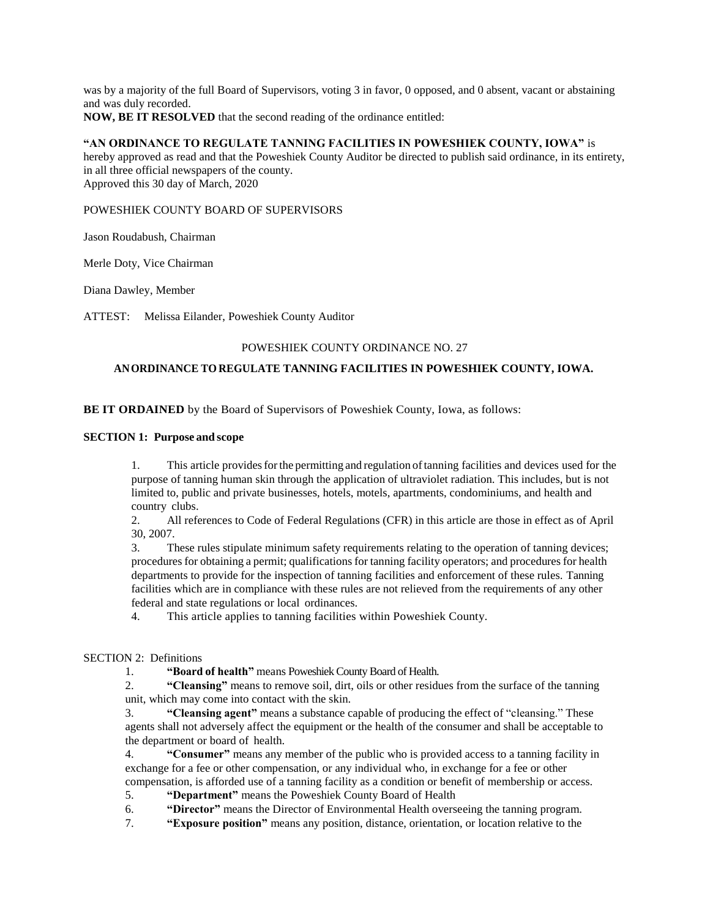was by a majority of the full Board of Supervisors, voting 3 in favor, 0 opposed, and 0 absent, vacant or abstaining and was duly recorded. **NOW, BE IT RESOLVED** that the second reading of the ordinance entitled:

# **"AN ORDINANCE TO REGULATE TANNING FACILITIES IN POWESHIEK COUNTY, IOWA"** is

hereby approved as read and that the Poweshiek County Auditor be directed to publish said ordinance, in its entirety, in all three official newspapers of the county. Approved this 30 day of March, 2020

### POWESHIEK COUNTY BOARD OF SUPERVISORS

Jason Roudabush, Chairman

Merle Doty, Vice Chairman

Diana Dawley, Member

ATTEST: Melissa Eilander, Poweshiek County Auditor

# POWESHIEK COUNTY ORDINANCE NO. 27

### **ANORDINANCE TOREGULATE TANNING FACILITIES IN POWESHIEK COUNTY, IOWA.**

### **BE IT ORDAINED** by the Board of Supervisors of Poweshiek County, Iowa, as follows:

### **SECTION 1: Purpose and scope**

1. This article providesforthe permitting and regulation oftanning facilities and devices used for the purpose of tanning human skin through the application of ultraviolet radiation. This includes, but is not limited to, public and private businesses, hotels, motels, apartments, condominiums, and health and country clubs.

2. All references to Code of Federal Regulations (CFR) in this article are those in effect as of April 30, 2007.

3. These rules stipulate minimum safety requirements relating to the operation of tanning devices; procedures for obtaining a permit; qualifications for tanning facility operators; and procedures for health departments to provide for the inspection of tanning facilities and enforcement of these rules. Tanning facilities which are in compliance with these rules are not relieved from the requirements of any other federal and state regulations or local ordinances.

4. This article applies to tanning facilities within Poweshiek County.

# SECTION 2: Definitions

1. **"Board of health"** means Poweshiek County Board of Health.

2. **"Cleansing"** means to remove soil, dirt, oils or other residues from the surface of the tanning unit, which may come into contact with the skin.

3. **"Cleansing agent"** means a substance capable of producing the effect of "cleansing." These agents shall not adversely affect the equipment or the health of the consumer and shall be acceptable to the department or board of health.

4. **"Consumer"** means any member of the public who is provided access to a tanning facility in exchange for a fee or other compensation, or any individual who, in exchange for a fee or other compensation, is afforded use of a tanning facility as a condition or benefit of membership or access.

5. **"Department"** means the Poweshiek County Board of Health

6. **"Director"** means the Director of Environmental Health overseeing the tanning program.

7. **"Exposure position"** means any position, distance, orientation, or location relative to the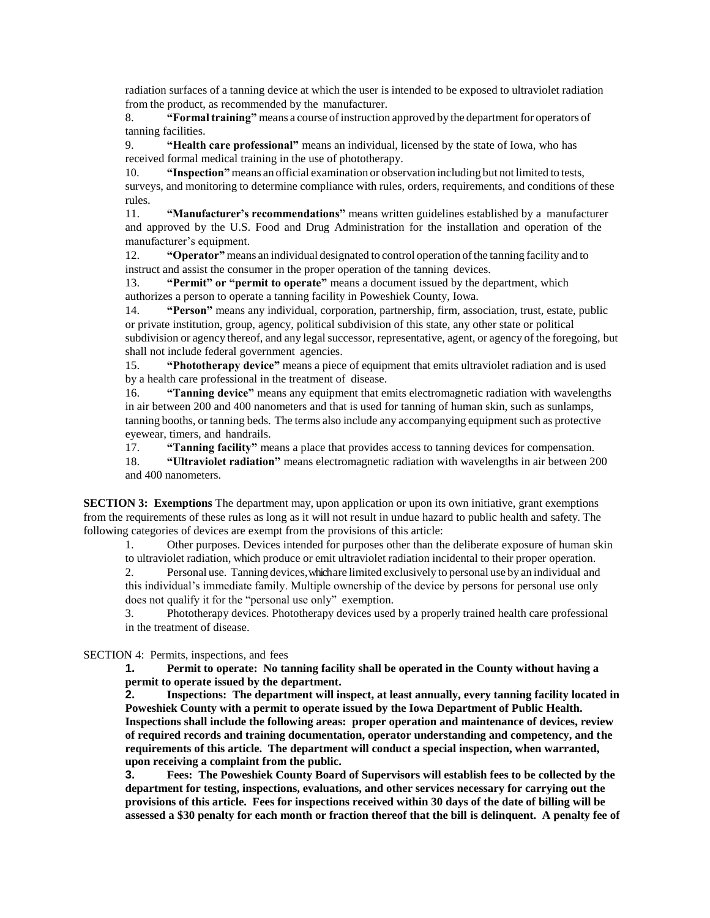radiation surfaces of a tanning device at which the user is intended to be exposed to ultraviolet radiation from the product, as recommended by the manufacturer.

8. **"Formaltraining"** means a course ofinstruction approved by the department for operators of tanning facilities.

9. **"Health care professional"** means an individual, licensed by the state of Iowa, who has received formal medical training in the use of phototherapy.

10. **"Inspection"** means an official examination or observation including but not limited to tests, surveys, and monitoring to determine compliance with rules, orders, requirements, and conditions of these rules.

11. **"Manufacturer's recommendations"** means written guidelines established by a manufacturer and approved by the U.S. Food and Drug Administration for the installation and operation of the manufacturer's equipment.

12. **"Operator"** means an individual designated to control operation ofthe tanning facility and to instruct and assist the consumer in the proper operation of the tanning devices.

13. **"Permit" or "permit to operate"** means a document issued by the department, which authorizes a person to operate a tanning facility in Poweshiek County, Iowa.

14. **"Person"** means any individual, corporation, partnership, firm, association, trust, estate, public or private institution, group, agency, political subdivision of this state, any other state or political subdivision or agency thereof, and any legal successor, representative, agent, or agency of the foregoing, but shall not include federal government agencies.

15. **"Phototherapy device"** means a piece of equipment that emits ultraviolet radiation and is used by a health care professional in the treatment of disease.

16. **"Tanning device"** means any equipment that emits electromagnetic radiation with wavelengths in air between 200 and 400 nanometers and that is used for tanning of human skin, such as sunlamps, tanning booths, or tanning beds. The terms also include any accompanying equipment such as protective eyewear, timers, and handrails.

17. **"Tanning facility"** means a place that provides access to tanning devices for compensation.

18. **"Ultraviolet radiation"** means electromagnetic radiation with wavelengths in air between 200 and 400 nanometers.

**SECTION 3: Exemptions** The department may, upon application or upon its own initiative, grant exemptions from the requirements of these rules as long as it will not result in undue hazard to public health and safety. The following categories of devices are exempt from the provisions of this article:

1. Other purposes. Devices intended for purposes other than the deliberate exposure of human skin to ultraviolet radiation, which produce or emit ultraviolet radiation incidental to their proper operation.

2. Personal use. Tanning devices, whichare limited exclusively to personal use by an individual and this individual's immediate family. Multiple ownership of the device by persons for personal use only does not qualify it for the "personal use only" exemption.

3. Phototherapy devices. Phototherapy devices used by a properly trained health care professional in the treatment of disease.

SECTION 4: Permits, inspections, and fees

**1. Permit to operate: No tanning facility shall be operated in the County without having a permit to operate issued by the department.**

**2. Inspections: The department will inspect, at least annually, every tanning facility located in Poweshiek County with a permit to operate issued by the Iowa Department of Public Health. Inspections shall include the following areas: proper operation and maintenance of devices, review of required records and training documentation, operator understanding and competency, and the requirements of this article. The department will conduct a special inspection, when warranted, upon receiving a complaint from the public.**

**3. Fees: The Poweshiek County Board of Supervisors will establish fees to be collected by the department for testing, inspections, evaluations, and other services necessary for carrying out the provisions of this article. Fees for inspections received within 30 days of the date of billing will be assessed a \$30 penalty for each month or fraction thereof that the bill is delinquent. A penalty fee of**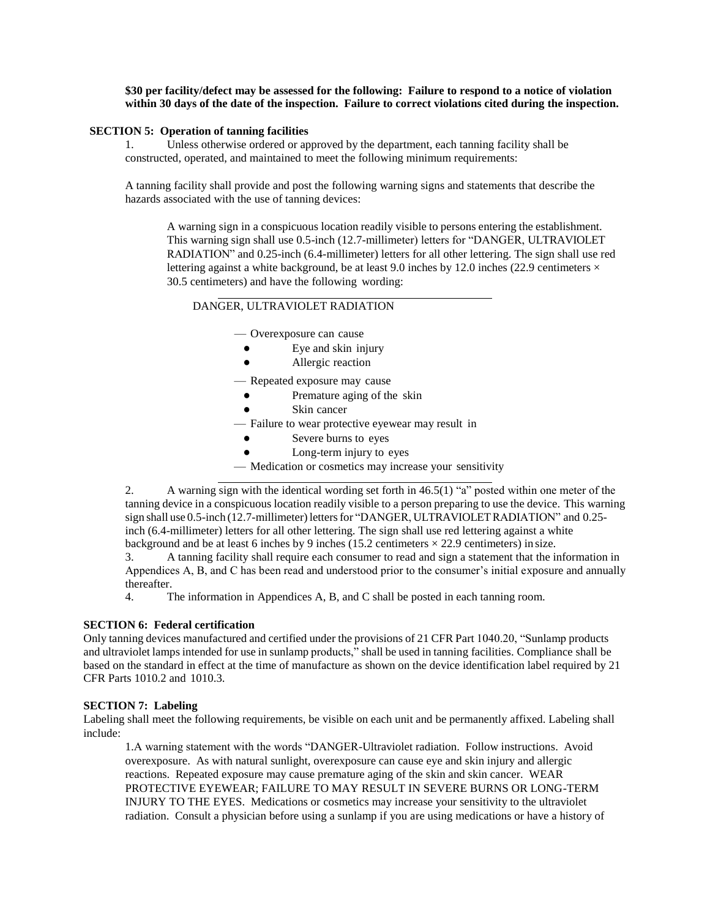**\$30 per facility/defect may be assessed for the following: Failure to respond to a notice of violation within 30 days of the date of the inspection. Failure to correct violations cited during the inspection.**

### **SECTION 5: Operation of tanning facilities**

Unless otherwise ordered or approved by the department, each tanning facility shall be constructed, operated, and maintained to meet the following minimum requirements:

A tanning facility shall provide and post the following warning signs and statements that describe the hazards associated with the use of tanning devices:

A warning sign in a conspicuous location readily visible to persons entering the establishment. This warning sign shall use 0.5-inch (12.7-millimeter) letters for "DANGER, ULTRAVIOLET RADIATION" and 0.25-inch (6.4-millimeter) letters for all other lettering. The sign shall use red lettering against a white background, be at least 9.0 inches by 12.0 inches (22.9 centimeters  $\times$ 30.5 centimeters) and have the following wording:

# DANGER, ULTRAVIOLET RADIATION

— Overexposure can cause

- Eye and skin injury
- Allergic reaction
- Repeated exposure may cause
	- Premature aging of the skin
	- Skin cancer
- Failure to wear protective eyewear may result in
	- Severe burns to eyes
	- Long-term injury to eyes
- Medication or cosmetics may increase your sensitivity

2. A warning sign with the identical wording set forth in 46.5(1) "a" posted within one meter of the tanning device in a conspicuous location readily visible to a person preparing to use the device. This warning sign shall use 0.5-inch (12.7-millimeter) letters for "DANGER, ULTRAVIOLET RADIATION" and 0.25inch (6.4-millimeter) letters for all other lettering. The sign shall use red lettering against a white background and be at least 6 inches by 9 inches (15.2 centimeters  $\times$  22.9 centimeters) in size.

3. A tanning facility shall require each consumer to read and sign a statement that the information in Appendices A, B, and C has been read and understood prior to the consumer's initial exposure and annually thereafter.

4. The information in Appendices A, B, and C shall be posted in each tanning room.

### **SECTION 6: Federal certification**

Only tanning devices manufactured and certified under the provisions of 21 CFR Part 1040.20, "Sunlamp products and ultraviolet lamps intended for use in sunlamp products," shall be used in tanning facilities. Compliance shall be based on the standard in effect at the time of manufacture as shown on the device identification label required by 21 CFR Parts 1010.2 and 1010.3.

#### **SECTION 7: Labeling**

Labeling shall meet the following requirements, be visible on each unit and be permanently affixed. Labeling shall include:

1.A warning statement with the words "DANGER-Ultraviolet radiation. Follow instructions. Avoid overexposure. As with natural sunlight, overexposure can cause eye and skin injury and allergic reactions. Repeated exposure may cause premature aging of the skin and skin cancer. WEAR PROTECTIVE EYEWEAR; FAILURE TO MAY RESULT IN SEVERE BURNS OR LONG-TERM INJURY TO THE EYES. Medications or cosmetics may increase your sensitivity to the ultraviolet radiation. Consult a physician before using a sunlamp if you are using medications or have a history of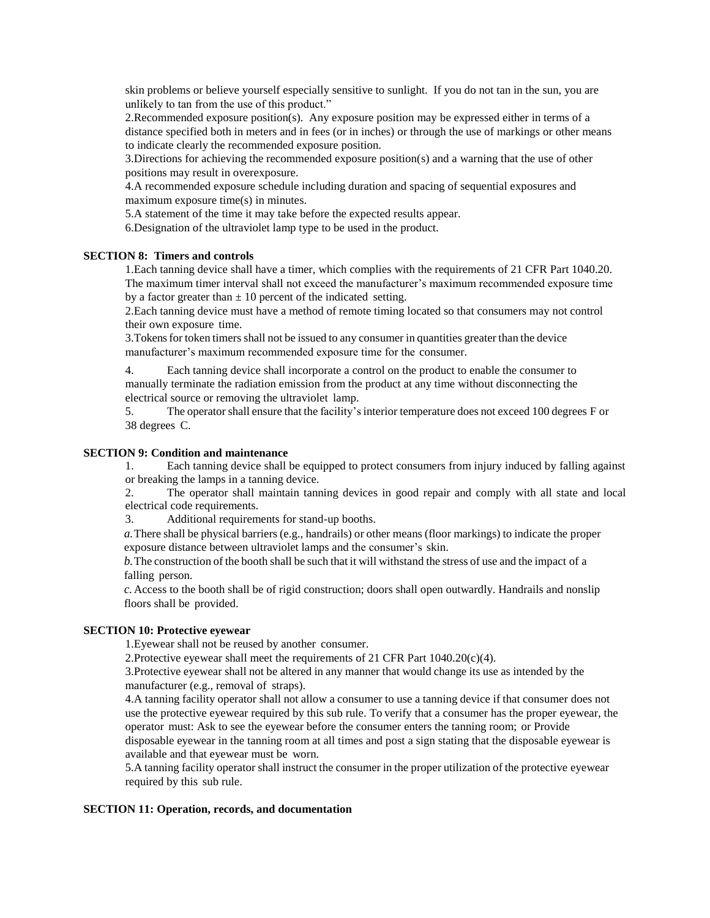skin problems or believe yourself especially sensitive to sunlight. If you do not tan in the sun, you are unlikely to tan from the use of this product."

2.Recommended exposure position(s). Any exposure position may be expressed either in terms of a distance specified both in meters and in fees (or in inches) or through the use of markings or other means to indicate clearly the recommended exposure position.

3. Directions for achieving the recommended exposure position(s) and a warning that the use of other positions may result in overexposure.

4.A recommended exposure schedule including duration and spacing of sequential exposures and maximum exposure time(s) in minutes.

5.A statement of the time it may take before the expected results appear.

6.Designation of the ultraviolet lamp type to be used in the product.

# **SECTION 8: Timers and controls**

1.Each tanning device shall have a timer, which complies with the requirements of 21 CFR Part 1040.20. The maximum timer interval shall not exceed the manufacturer's maximum recommended exposure time by a factor greater than  $\pm 10$  percent of the indicated setting.

2.Each tanning device must have a method of remote timing located so that consumers may not control their own exposure time.

3.Tokensfor token timers shall not be issued to any consumer in quantities greater than the device manufacturer's maximum recommended exposure time for the consumer.

4. Each tanning device shall incorporate a control on the product to enable the consumer to manually terminate the radiation emission from the product at any time without disconnecting the electrical source or removing the ultraviolet lamp.

5. The operatorshall ensure that the facility'sinterior temperature does not exceed 100 degrees F or 38 degrees C.

### **SECTION 9: Condition and maintenance**

1. Each tanning device shall be equipped to protect consumers from injury induced by falling against or breaking the lamps in a tanning device.

2. The operator shall maintain tanning devices in good repair and comply with all state and local electrical code requirements.

3. Additional requirements for stand-up booths.

*a.*There shall be physical barriers (e.g., handrails) or other means (floor markings) to indicate the proper exposure distance between ultraviolet lamps and the consumer's skin.

*b.*The construction of the booth shall be such that it will withstand the stress of use and the impact of a falling person.

*c.*Access to the booth shall be of rigid construction; doors shall open outwardly. Handrails and nonslip floors shall be provided.

### **SECTION 10: Protective eyewear**

1.Eyewear shall not be reused by another consumer.

2. Protective eyewear shall meet the requirements of 21 CFR Part  $1040.20(c)(4)$ .

3.Protective eyewear shall not be altered in any manner that would change its use as intended by the manufacturer (e.g., removal of straps).

4.A tanning facility operator shall not allow a consumer to use a tanning device if that consumer does not use the protective eyewear required by this sub rule. To verify that a consumer has the proper eyewear, the operator must: Ask to see the eyewear before the consumer enters the tanning room; or Provide disposable eyewear in the tanning room at all times and post a sign stating that the disposable eyewear is available and that eyewear must be worn.

5.A tanning facility operator shall instruct the consumer in the proper utilization of the protective eyewear required by this sub rule.

### **SECTION 11: Operation, records, and documentation**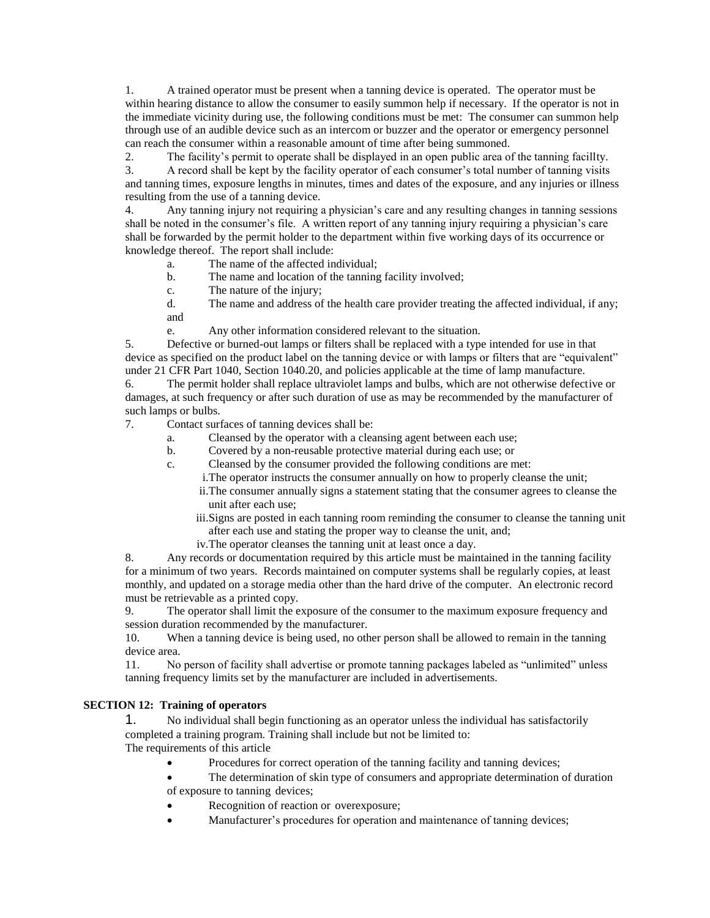1. A trained operator must be present when a tanning device is operated. The operator must be within hearing distance to allow the consumer to easily summon help if necessary. If the operator is not in the immediate vicinity during use, the following conditions must be met: The consumer can summon help through use of an audible device such as an intercom or buzzer and the operator or emergency personnel can reach the consumer within a reasonable amount of time after being summoned.

2. The facility's permit to operate shall be displayed in an open public area of the tanning facillty.

3. A record shall be kept by the facility operator of each consumer's total number of tanning visits and tanning times, exposure lengths in minutes, times and dates of the exposure, and any injuries or illness resulting from the use of a tanning device.

4. Any tanning injury not requiring a physician's care and any resulting changes in tanning sessions shall be noted in the consumer's file. A written report of any tanning injury requiring a physician's care shall be forwarded by the permit holder to the department within five working days of its occurrence or knowledge thereof. The report shall include:

- a. The name of the affected individual;
- b. The name and location of the tanning facility involved;
- c. The nature of the injury;

d. The name and address of the health care provider treating the affected individual, if any; and

e. Any other information considered relevant to the situation.

5. Defective or burned-out lamps or filters shall be replaced with a type intended for use in that device as specified on the product label on the tanning device or with lamps or filters that are "equivalent" under 21 CFR Part 1040, Section 1040.20, and policies applicable at the time of lamp manufacture.

6. The permit holder shall replace ultraviolet lamps and bulbs, which are not otherwise defective or damages, at such frequency or after such duration of use as may be recommended by the manufacturer of such lamps or bulbs.

7. Contact surfaces of tanning devices shall be:

- a. Cleansed by the operator with a cleansing agent between each use;
- b. Covered by a non-reusable protective material during each use; or
- c. Cleansed by the consumer provided the following conditions are met:
	- i.The operator instructs the consumer annually on how to properly cleanse the unit;
	- ii.The consumer annually signs a statement stating that the consumer agrees to cleanse the unit after each use;
	- iii.Signs are posted in each tanning room reminding the consumer to cleanse the tanning unit after each use and stating the proper way to cleanse the unit, and;
	- iv.The operator cleanses the tanning unit at least once a day.

8. Any records or documentation required by this article must be maintained in the tanning facility for a minimum of two years. Records maintained on computer systems shall be regularly copies, at least monthly, and updated on a storage media other than the hard drive of the computer. An electronic record must be retrievable as a printed copy.

9. The operator shall limit the exposure of the consumer to the maximum exposure frequency and session duration recommended by the manufacturer.

10. When a tanning device is being used, no other person shall be allowed to remain in the tanning device area.

11. No person of facility shall advertise or promote tanning packages labeled as "unlimited" unless tanning frequency limits set by the manufacturer are included in advertisements.

# **SECTION 12: Training of operators**

1. No individual shall begin functioning as an operator unless the individual has satisfactorily completed a training program. Training shall include but not be limited to:

The requirements of this article

- Procedures for correct operation of the tanning facility and tanning devices;
- The determination of skin type of consumers and appropriate determination of duration of exposure to tanning devices;
- Recognition of reaction or overexposure;
- Manufacturer's procedures for operation and maintenance of tanning devices;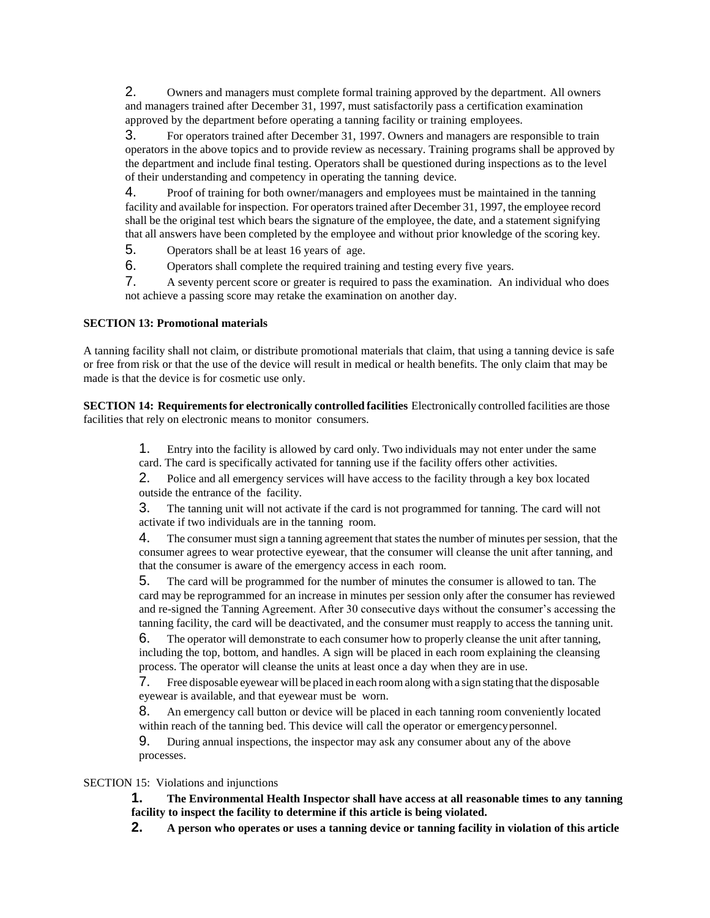2. Owners and managers must complete formal training approved by the department. All owners and managers trained after December 31, 1997, must satisfactorily pass a certification examination approved by the department before operating a tanning facility or training employees.

3. For operators trained after December 31, 1997. Owners and managers are responsible to train operators in the above topics and to provide review as necessary. Training programs shall be approved by the department and include final testing. Operators shall be questioned during inspections as to the level of their understanding and competency in operating the tanning device.

4. Proof of training for both owner/managers and employees must be maintained in the tanning facility and available for inspection. For operators trained after December 31, 1997, the employee record shall be the original test which bears the signature of the employee, the date, and a statement signifying that all answers have been completed by the employee and without prior knowledge of the scoring key.

5. Operators shall be at least 16 years of age.

6. Operators shall complete the required training and testing every five years.

7. A seventy percent score or greater is required to pass the examination. An individual who does not achieve a passing score may retake the examination on another day.

### **SECTION 13: Promotional materials**

A tanning facility shall not claim, or distribute promotional materials that claim, that using a tanning device is safe or free from risk or that the use of the device will result in medical or health benefits. The only claim that may be made is that the device is for cosmetic use only.

**SECTION 14: Requirementsfor electronically controlled facilities** Electronically controlled facilities are those facilities that rely on electronic means to monitor consumers.

> 1. Entry into the facility is allowed by card only. Two individuals may not enter under the same card. The card is specifically activated for tanning use if the facility offers other activities.

2. Police and all emergency services will have access to the facility through a key box located outside the entrance of the facility.

3. The tanning unit will not activate if the card is not programmed for tanning. The card will not activate if two individuals are in the tanning room.

4. The consumer must sign a tanning agreement that states the number of minutes per session, that the consumer agrees to wear protective eyewear, that the consumer will cleanse the unit after tanning, and that the consumer is aware of the emergency access in each room.

5. The card will be programmed for the number of minutes the consumer is allowed to tan. The card may be reprogrammed for an increase in minutes per session only after the consumer has reviewed and re-signed the Tanning Agreement. After 30 consecutive days without the consumer's accessing the tanning facility, the card will be deactivated, and the consumer must reapply to access the tanning unit.

6. The operator will demonstrate to each consumer how to properly cleanse the unit after tanning, including the top, bottom, and handles. A sign will be placed in each room explaining the cleansing process. The operator will cleanse the units at least once a day when they are in use.

7. Free disposable eyewear will be placed in each roomalong with a sign stating that the disposable eyewear is available, and that eyewear must be worn.

8. An emergency call button or device will be placed in each tanning room conveniently located within reach of the tanning bed. This device will call the operator or emergency personnel.

9. During annual inspections, the inspector may ask any consumer about any of the above processes.

### SECTION 15: Violations and injunctions

**1. The Environmental Health Inspector shall have access at all reasonable times to any tanning facility to inspect the facility to determine if this article is being violated.**

**2. A person who operates or uses a tanning device or tanning facility in violation of this article**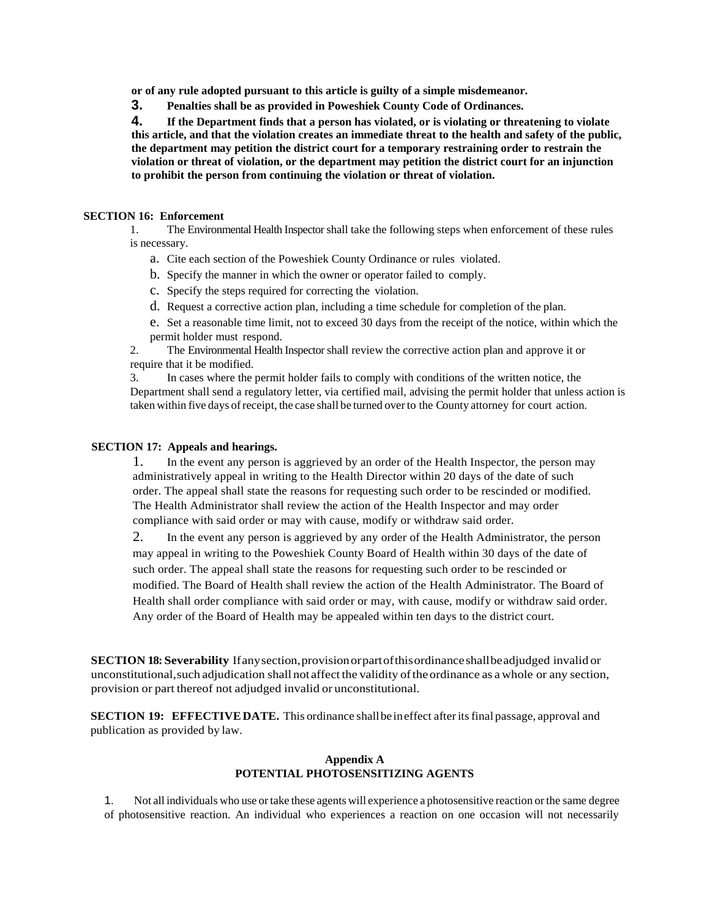**or of any rule adopted pursuant to this article is guilty of a simple misdemeanor.**

**3. Penalties shall be as provided in Poweshiek County Code of Ordinances.**

**4. If the Department finds that a person has violated, or is violating or threatening to violate this article, and that the violation creates an immediate threat to the health and safety of the public, the department may petition the district court for a temporary restraining order to restrain the violation or threat of violation, or the department may petition the district court for an injunction to prohibit the person from continuing the violation or threat of violation.**

### **SECTION 16: Enforcement**

1. The Environmental Health Inspector shall take the following steps when enforcement of these rules is necessary.

- a. Cite each section of the Poweshiek County Ordinance or rules violated.
- b. Specify the manner in which the owner or operator failed to comply.
- c. Specify the steps required for correcting the violation.
- d. Request a corrective action plan, including a time schedule for completion of the plan.
- e. Set a reasonable time limit, not to exceed 30 days from the receipt of the notice, within which the permit holder must respond.

2. The Environmental Health Inspector shall review the corrective action plan and approve it or require that it be modified.

3. In cases where the permit holder fails to comply with conditions of the written notice, the Department shall send a regulatory letter, via certified mail, advising the permit holder that unless action is taken within five days ofreceipt, the case shall be turned overto the County attorney for court action.

#### **SECTION 17: Appeals and hearings.**

1. In the event any person is aggrieved by an order of the Health Inspector, the person may administratively appeal in writing to the Health Director within 20 days of the date of such order. The appeal shall state the reasons for requesting such order to be rescinded or modified. The Health Administrator shall review the action of the Health Inspector and may order compliance with said order or may with cause, modify or withdraw said order.

2. In the event any person is aggrieved by any order of the Health Administrator, the person may appeal in writing to the Poweshiek County Board of Health within 30 days of the date of such order. The appeal shall state the reasons for requesting such order to be rescinded or modified. The Board of Health shall review the action of the Health Administrator. The Board of Health shall order compliance with said order or may, with cause, modify or withdraw said order. Any order of the Board of Health may be appealed within ten days to the district court.

**SECTION 18: Severability** Ifanysection,provisionorpartofthisordinanceshallbeadjudged invalid or unconstitutional,such adjudication shall not affect the validity oftheordinance as a whole or any section, provision or part thereof not adjudged invalid or unconstitutional.

**SECTION 19: EFFECTIVE DATE.** This ordinance shallbe ineffect afteritsfinal passage, approval and publication as provided by law.

# **Appendix A POTENTIAL PHOTOSENSITIZING AGENTS**

1. Not all individuals who use ortake these agents will experience a photosensitive reaction orthe same degree of photosensitive reaction. An individual who experiences a reaction on one occasion will not necessarily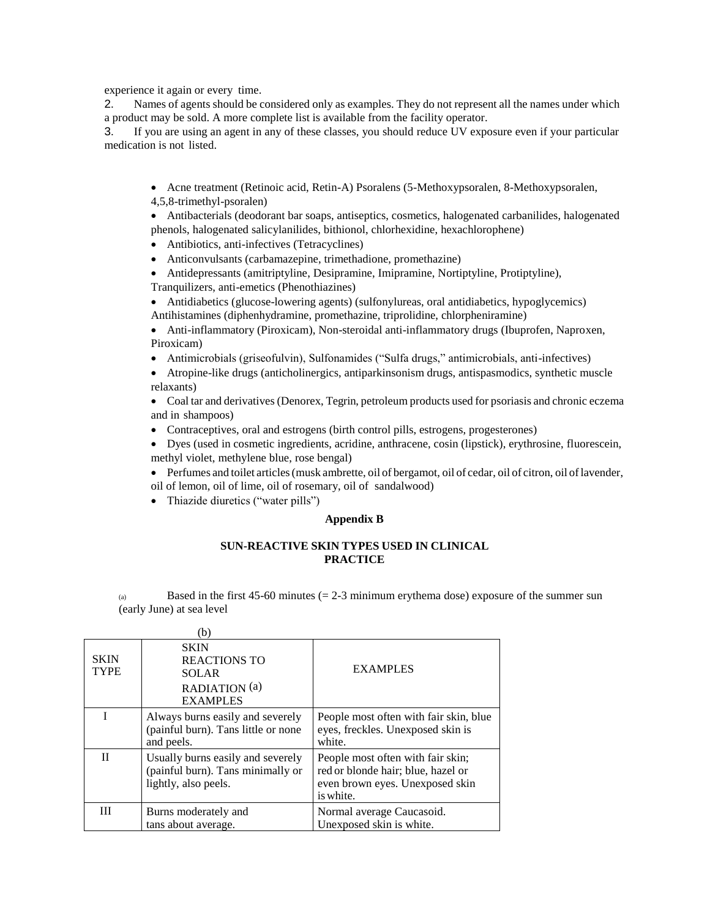experience it again or every time.

2. Names of agents should be considered only as examples. They do not represent all the names under which a product may be sold. A more complete list is available from the facility operator.

3. If you are using an agent in any of these classes, you should reduce UV exposure even if your particular medication is not listed.

- Acne treatment (Retinoic acid, Retin-A) Psoralens (5-Methoxypsoralen, 8-Methoxypsoralen, 4,5,8-trimethyl-psoralen)
- Antibacterials (deodorant bar soaps, antiseptics, cosmetics, halogenated carbanilides, halogenated phenols, halogenated salicylanilides, bithionol, chlorhexidine, hexachlorophene)
- Antibiotics, anti-infectives (Tetracyclines)
- Anticonvulsants (carbamazepine, trimethadione, promethazine)
- Antidepressants (amitriptyline, Desipramine, Imipramine, Nortiptyline, Protiptyline), Tranquilizers, anti-emetics (Phenothiazines)

 Antidiabetics (glucose-lowering agents) (sulfonylureas, oral antidiabetics, hypoglycemics) Antihistamines (diphenhydramine, promethazine, triprolidine, chlorpheniramine)

 Anti-inflammatory (Piroxicam), Non-steroidal anti-inflammatory drugs (Ibuprofen, Naproxen, Piroxicam)

- Antimicrobials (griseofulvin), Sulfonamides ("Sulfa drugs," antimicrobials, anti-infectives)
- Atropine-like drugs (anticholinergics, antiparkinsonism drugs, antispasmodics, synthetic muscle relaxants)

 Coal tar and derivatives (Denorex, Tegrin, petroleum products used for psoriasis and chronic eczema and in shampoos)

- Contraceptives, oral and estrogens (birth control pills, estrogens, progesterones)
- Dyes (used in cosmetic ingredients, acridine, anthracene, cosin (lipstick), erythrosine, fluorescein, methyl violet, methylene blue, rose bengal)
- Perfumes and toilet articles (musk ambrette, oil of bergamot, oil of cedar, oil of citron, oil of lavender, oil of lemon, oil of lime, oil of rosemary, oil of sandalwood)
- Thiazide diuretics ("water pills")

### **Appendix B**

### **SUN-REACTIVE SKIN TYPES USED IN CLINICAL PRACTICE**

(a) Based in the first  $45-60$  minutes ( $= 2-3$  minimum erythema dose) exposure of the summer sun (early June) at sea level

|                            | (b                                                                                             |                                                                                                                         |
|----------------------------|------------------------------------------------------------------------------------------------|-------------------------------------------------------------------------------------------------------------------------|
| <b>SKIN</b><br><b>TYPE</b> | <b>SKIN</b><br><b>REACTIONS TO</b><br><b>SOLAR</b><br>RADIATION (a)<br><b>EXAMPLES</b>         | <b>EXAMPLES</b>                                                                                                         |
|                            | Always burns easily and severely<br>(painful burn). Tans little or none<br>and peels.          | People most often with fair skin, blue<br>eyes, freckles. Unexposed skin is<br>white.                                   |
| $_{\rm II}$                | Usually burns easily and severely<br>(painful burn). Tans minimally or<br>lightly, also peels. | People most often with fair skin;<br>red or blonde hair; blue, hazel or<br>even brown eyes. Unexposed skin<br>is white. |
| Ш                          | Burns moderately and<br>tans about average.                                                    | Normal average Caucasoid.<br>Unexposed skin is white.                                                                   |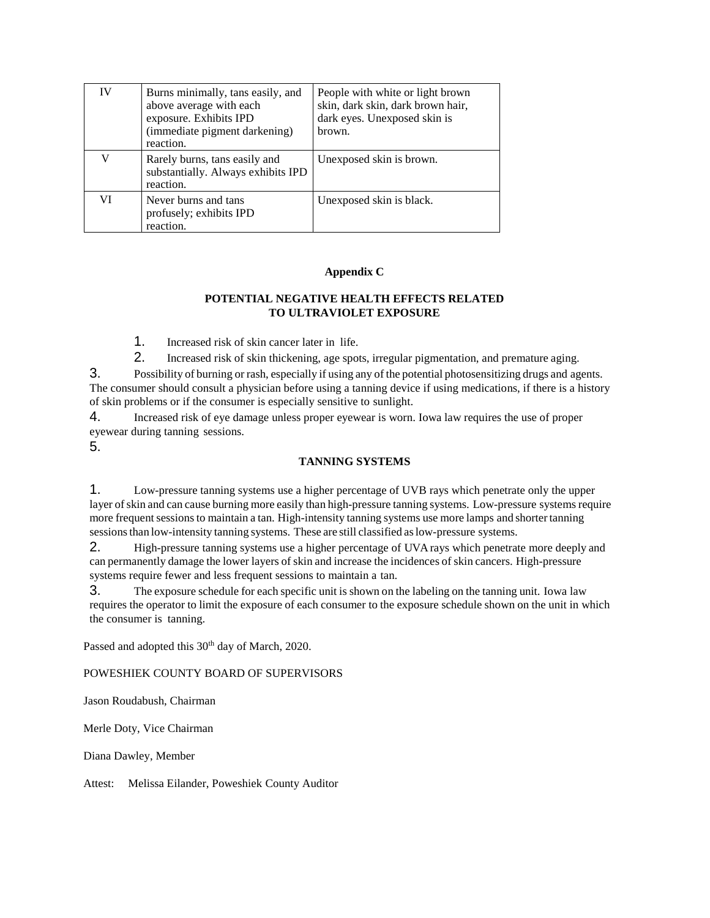| IV | Burns minimally, tans easily, and<br>above average with each<br>exposure. Exhibits IPD<br>(immediate pigment darkening)<br>reaction. | People with white or light brown<br>skin, dark skin, dark brown hair,<br>dark eyes. Unexposed skin is<br>brown. |
|----|--------------------------------------------------------------------------------------------------------------------------------------|-----------------------------------------------------------------------------------------------------------------|
|    | Rarely burns, tans easily and<br>substantially. Always exhibits IPD<br>reaction.                                                     | Unexposed skin is brown.                                                                                        |
| VI | Never burns and tans<br>profusely; exhibits IPD<br>reaction.                                                                         | Unexposed skin is black.                                                                                        |

### **Appendix C**

# **POTENTIAL NEGATIVE HEALTH EFFECTS RELATED TO ULTRAVIOLET EXPOSURE**

1. Increased risk of skin cancer later in life.

2. Increased risk of skin thickening, age spots, irregular pigmentation, and premature aging.

3. Possibility of burning or rash, especially if using any of the potential photosensitizing drugs and agents. The consumer should consult a physician before using a tanning device if using medications, if there is a history of skin problems or if the consumer is especially sensitive to sunlight.

4. Increased risk of eye damage unless proper eyewear is worn. Iowa law requires the use of proper eyewear during tanning sessions.

5.

## **TANNING SYSTEMS**

1. Low-pressure tanning systems use a higher percentage of UVB rays which penetrate only the upper layer of skin and can cause burning more easily than high-pressure tanning systems. Low-pressure systems require more frequent sessions to maintain a tan. High-intensity tanning systems use more lamps and shorter tanning sessions than low-intensity tanning systems. These are still classified as low-pressure systems.

2. High-pressure tanning systems use a higher percentage of UVA rays which penetrate more deeply and can permanently damage the lower layers of skin and increase the incidences of skin cancers. High-pressure systems require fewer and less frequent sessions to maintain a tan.

3. The exposure schedule for each specific unit is shown on the labeling on the tanning unit. Iowa law requires the operator to limit the exposure of each consumer to the exposure schedule shown on the unit in which the consumer is tanning.

Passed and adopted this 30<sup>th</sup> day of March, 2020.

# POWESHIEK COUNTY BOARD OF SUPERVISORS

Jason Roudabush, Chairman

Merle Doty, Vice Chairman

Diana Dawley, Member

Attest: Melissa Eilander, Poweshiek County Auditor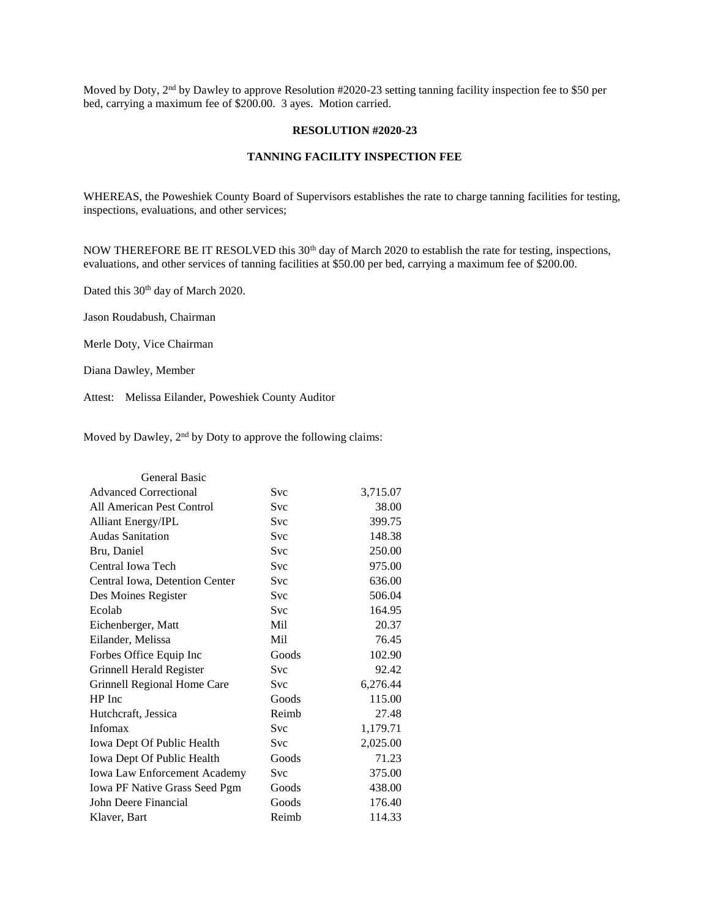Moved by Doty, 2<sup>nd</sup> by Dawley to approve Resolution #2020-23 setting tanning facility inspection fee to \$50 per bed, carrying a maximum fee of \$200.00. 3 ayes. Motion carried.

#### **RESOLUTION #2020-23**

### **TANNING FACILITY INSPECTION FEE**

WHEREAS, the Poweshiek County Board of Supervisors establishes the rate to charge tanning facilities for testing, inspections, evaluations, and other services;

NOW THEREFORE BE IT RESOLVED this 30<sup>th</sup> day of March 2020 to establish the rate for testing, inspections, evaluations, and other services of tanning facilities at \$50.00 per bed, carrying a maximum fee of \$200.00.

Dated this 30<sup>th</sup> day of March 2020.

Jason Roudabush, Chairman

Merle Doty, Vice Chairman

Diana Dawley, Member

Attest: Melissa Eilander, Poweshiek County Auditor

Moved by Dawley, 2<sup>nd</sup> by Doty to approve the following claims:

| General Basic                       |            |          |
|-------------------------------------|------------|----------|
| <b>Advanced Correctional</b>        | Svc        | 3,715.07 |
| All American Pest Control           | Svc        | 38.00    |
| Alliant Energy/IPL                  | <b>Svc</b> | 399.75   |
| <b>Audas Sanitation</b>             | <b>Svc</b> | 148.38   |
| Bru, Daniel                         | <b>Svc</b> | 250.00   |
| Central Iowa Tech                   | <b>Svc</b> | 975.00   |
| Central Iowa, Detention Center      | Svc        | 636.00   |
| Des Moines Register                 | <b>Svc</b> | 506.04   |
| Ecolab                              | <b>Svc</b> | 164.95   |
| Eichenberger, Matt                  | Mil        | 20.37    |
| Eilander, Melissa                   | Mil        | 76.45    |
| Forbes Office Equip Inc             | Goods      | 102.90   |
| Grinnell Herald Register            | <b>Svc</b> | 92.42    |
| Grinnell Regional Home Care         | <b>Svc</b> | 6,276.44 |
| HP Inc                              | Goods      | 115.00   |
| Hutchcraft, Jessica                 | Reimb      | 27.48    |
| Infomax                             | Svc        | 1,179.71 |
| Iowa Dept Of Public Health          | <b>Svc</b> | 2,025.00 |
| Iowa Dept Of Public Health          | Goods      | 71.23    |
| <b>Iowa Law Enforcement Academy</b> | Svc        | 375.00   |
| Iowa PF Native Grass Seed Pgm       | Goods      | 438.00   |
| John Deere Financial                | Goods      | 176.40   |
| Klaver, Bart                        | Reimb      | 114.33   |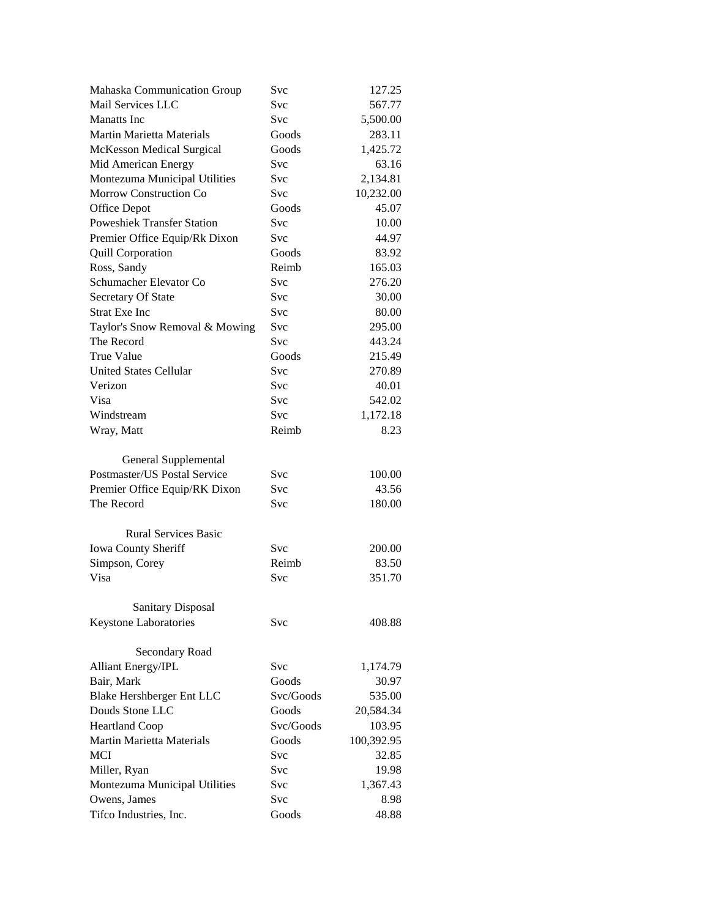| Mahaska Communication Group       | Svc        | 127.25     |
|-----------------------------------|------------|------------|
| Mail Services LLC                 | Svc        | 567.77     |
| Manatts Inc.                      | Svc        | 5,500.00   |
| Martin Marietta Materials         | Goods      | 283.11     |
| McKesson Medical Surgical         | Goods      | 1,425.72   |
| Mid American Energy               | Svc        | 63.16      |
| Montezuma Municipal Utilities     | Svc        | 2,134.81   |
| Morrow Construction Co            | <b>Svc</b> | 10,232.00  |
| Office Depot                      | Goods      | 45.07      |
| <b>Poweshiek Transfer Station</b> | Svc        | 10.00      |
| Premier Office Equip/Rk Dixon     | Svc        | 44.97      |
| <b>Quill Corporation</b>          | Goods      | 83.92      |
| Ross, Sandy                       | Reimb      | 165.03     |
| Schumacher Elevator Co            | Svc        | 276.20     |
| Secretary Of State                | <b>Svc</b> | 30.00      |
| <b>Strat Exe Inc</b>              | <b>Svc</b> | 80.00      |
| Taylor's Snow Removal & Mowing    | Svc        | 295.00     |
| The Record                        | Svc        | 443.24     |
| True Value                        | Goods      | 215.49     |
| <b>United States Cellular</b>     | <b>Svc</b> | 270.89     |
| Verizon                           | Svc        | 40.01      |
| Visa                              | Svc        | 542.02     |
| Windstream                        | Svc        | 1,172.18   |
| Wray, Matt                        | Reimb      | 8.23       |
|                                   |            |            |
| General Supplemental              |            |            |
| Postmaster/US Postal Service      | Svc        | 100.00     |
| Premier Office Equip/RK Dixon     | Svc        | 43.56      |
| The Record                        | Svc        | 180.00     |
|                                   |            |            |
| <b>Rural Services Basic</b>       |            |            |
| Iowa County Sheriff               | <b>Svc</b> | 200.00     |
| Simpson, Corey                    | Reimb      | 83.50      |
| Visa                              | Svc        | 351.70     |
|                                   |            |            |
| <b>Sanitary Disposal</b>          |            |            |
| Keystone Laboratories             | Svc        | 408.88     |
|                                   |            |            |
| Secondary Road                    |            |            |
| <b>Alliant Energy/IPL</b>         | <b>Svc</b> | 1,174.79   |
| Bair, Mark                        | Goods      | 30.97      |
| Blake Hershberger Ent LLC         | Svc/Goods  | 535.00     |
| Douds Stone LLC                   | Goods      | 20,584.34  |
| <b>Heartland Coop</b>             | Svc/Goods  | 103.95     |
| <b>Martin Marietta Materials</b>  | Goods      | 100,392.95 |
| <b>MCI</b>                        | <b>Svc</b> | 32.85      |
| Miller, Ryan                      | Svc        | 19.98      |
| Montezuma Municipal Utilities     | Svc        | 1,367.43   |
| Owens, James                      | Svc        | 8.98       |
| Tifco Industries, Inc.            | Goods      | 48.88      |